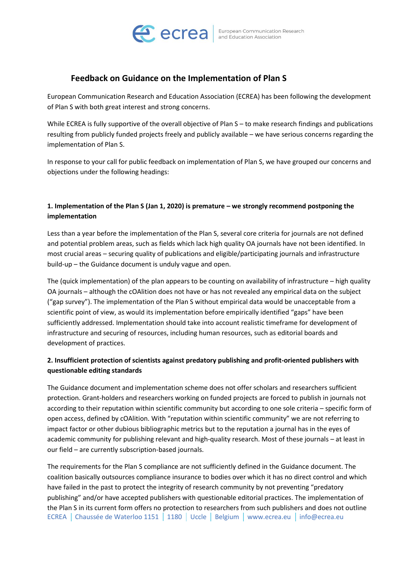

## **Feedback on Guidance on the Implementation of Plan S**

European Communication Research and Education Association (ECREA) has been following the development of Plan S with both great interest and strong concerns.

While ECREA is fully supportive of the overall objective of Plan S – to make research findings and publications resulting from publicly funded projects freely and publicly available – we have serious concerns regarding the implementation of Plan S.

In response to your call for public feedback on implementation of Plan S, we have grouped our concerns and objections under the following headings:

### **1. Implementation of the Plan S (Jan 1, 2020) is premature – we strongly recommend postponing the implementation**

Less than a year before the implementation of the Plan S, several core criteria for journals are not defined and potential problem areas, such as fields which lack high quality OA journals have not been identified. In most crucial areas – securing quality of publications and eligible/participating journals and infrastructure build-up – the Guidance document is unduly vague and open.

The (quick implementation) of the plan appears to be counting on availability of infrastructure – high quality OA journals – although the cOAlition does not have or has not revealed any empirical data on the subject ("gap survey"). The implementation of the Plan S without empirical data would be unacceptable from a scientific point of view, as would its implementation before empirically identified "gaps" have been sufficiently addressed. Implementation should take into account realistic timeframe for development of infrastructure and securing of resources, including human resources, such as editorial boards and development of practices.

## **2. Insufficient protection of scientists against predatory publishing and profit-oriented publishers with questionable editing standards**

The Guidance document and implementation scheme does not offer scholars and researchers sufficient protection. Grant-holders and researchers working on funded projects are forced to publish in journals not according to their reputation within scientific community but according to one sole criteria – specific form of open access, defined by cOAlition. With "reputation within scientific community" we are not referring to impact factor or other dubious bibliographic metrics but to the reputation a journal has in the eyes of academic community for publishing relevant and high-quality research. Most of these journals – at least in our field – are currently subscription-based journals.

ECREA Chaussée de Waterloo 1151 1180 Uccle Belgium www.ecrea.eu info@ecrea.eu The requirements for the Plan S compliance are not sufficiently defined in the Guidance document. The coalition basically outsources compliance insurance to bodies over which it has no direct control and which have failed in the past to protect the integrity of research community by not preventing "predatory publishing" and/or have accepted publishers with questionable editorial practices. The implementation of the Plan S in its current form offers no protection to researchers from such publishers and does not outline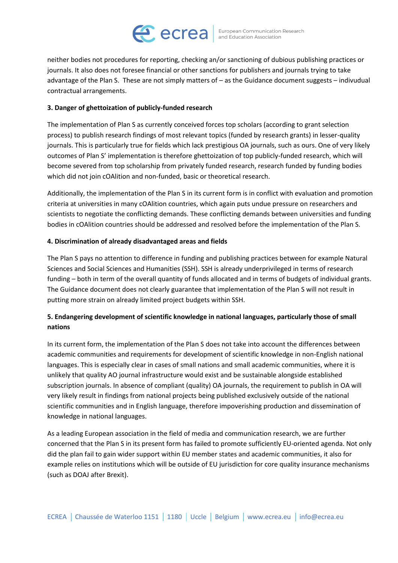## **CCrea** European Communication Research

neither bodies not procedures for reporting, checking an/or sanctioning of dubious publishing practices or journals. It also does not foresee financial or other sanctions for publishers and journals trying to take advantage of the Plan S. These are not simply matters of – as the Guidance document suggests – indivudual contractual arrangements.

#### **3. Danger of ghettoization of publicly-funded research**

The implementation of Plan S as currently conceived forces top scholars (according to grant selection process) to publish research findings of most relevant topics (funded by research grants) in lesser-quality journals. This is particularly true for fields which lack prestigious OA journals, such as ours. One of very likely outcomes of Plan S' implementation is therefore ghettoization of top publicly-funded research, which will become severed from top scholarship from privately funded research, research funded by funding bodies which did not join cOAlition and non-funded, basic or theoretical research.

Additionally, the implementation of the Plan S in its current form is in conflict with evaluation and promotion criteria at universities in many cOAlition countries, which again puts undue pressure on researchers and scientists to negotiate the conflicting demands. These conflicting demands between universities and funding bodies in cOAlition countries should be addressed and resolved before the implementation of the Plan S.

#### **4. Discrimination of already disadvantaged areas and fields**

The Plan S pays no attention to difference in funding and publishing practices between for example Natural Sciences and Social Sciences and Humanities (SSH). SSH is already underprivileged in terms of research funding – both in term of the overall quantity of funds allocated and in terms of budgets of individual grants. The Guidance document does not clearly guarantee that implementation of the Plan S will not result in putting more strain on already limited project budgets within SSH.

## **5. Endangering development of scientific knowledge in national languages, particularly those of small nations**

In its current form, the implementation of the Plan S does not take into account the differences between academic communities and requirements for development of scientific knowledge in non-English national languages. This is especially clear in cases of small nations and small academic communities, where it is unlikely that quality AO journal infrastructure would exist and be sustainable alongside established subscription journals. In absence of compliant (quality) OA journals, the requirement to publish in OA will very likely result in findings from national projects being published exclusively outside of the national scientific communities and in English language, therefore impoverishing production and dissemination of knowledge in national languages.

As a leading European association in the field of media and communication research, we are further concerned that the Plan S in its present form has failed to promote sufficiently EU-oriented agenda. Not only did the plan fail to gain wider support within EU member states and academic communities, it also for example relies on institutions which will be outside of EU jurisdiction for core quality insurance mechanisms (such as DOAJ after Brexit).